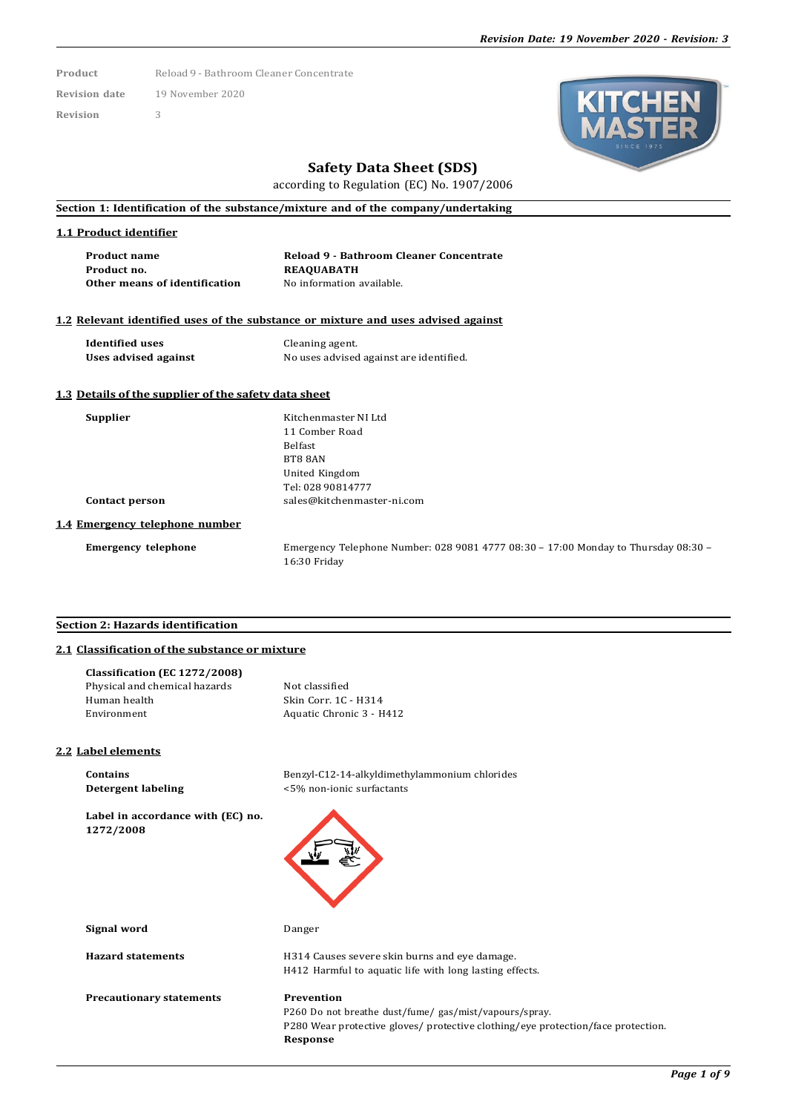**Product** Reload 9 - Bathroom Cleaner Concentrate

**Revision date** 19 November 2020 **Revision** 3

# **Safety Data Sheet (SDS)**

according to Regulation (EC) No. 1907/2006

## **Section 1: Identification of the substance/mixture and of the company/undertaking**

#### **1.1 Product identifier**

| <b>Product name</b>           | Reload 9 - Bathroom Cleaner Concentrate |
|-------------------------------|-----------------------------------------|
| Product no.                   | <b>REAOUABATH</b>                       |
| Other means of identification | No information available.               |

## **1.2 Relevant identified uses of the substance or mixture and uses advised against**

**Identified uses** Cleaning agent.<br> **Uses advised against** No uses advised

**Uses advised against** No uses advised against are identified.

#### **1.3 Details of the supplier of the safety data sheet**

| п | nnn |  |
|---|-----|--|
|   |     |  |

**Supplier** Kitchenmaster NI Ltd 11 Comber Road Belfast BT8 8AN United Kingdom Tel: 028 90814777 **Contact person** [sales@kitchenmaster-ni.com](mailto:sales@kitchenmaster-ni.com)

#### **1.4 Emergency telephone number**

**Emergency telephone** Emergency Telephone Number: 028 9081 4777 08:30 – 17:00 Monday to Thursday 08:30 – 16:30 Friday

### **Section 2: Hazards identification**

## **2.1 Classification of the substance or mixture**

| Classification (EC 1272/2008) |                          |
|-------------------------------|--------------------------|
| Physical and chemical hazards | Not classified           |
| Human health                  | Skin Corr. 1C - H314     |
| Environment                   | Aquatic Chronic 3 - H412 |

#### **2.2 Label elements**

**Contains** Benzyl-C12-14-alkyldimethylammonium chlorides **Detergent labeling** <5% non-ionic surfactants

**Label in accordance with (EC) no. 1272/2008**

**Signal word** Danger

**Precautionary statements Prevention**

**Hazard statements** H314 Causes severe skin burns and eye damage.

H412 Harmful to aquatic life with long lasting effects.

P260 Do not breathe dust/fume/ gas/mist/vapours/spray. P280 Wear protective gloves/ protective clothing/eye protection/face protection. **Response**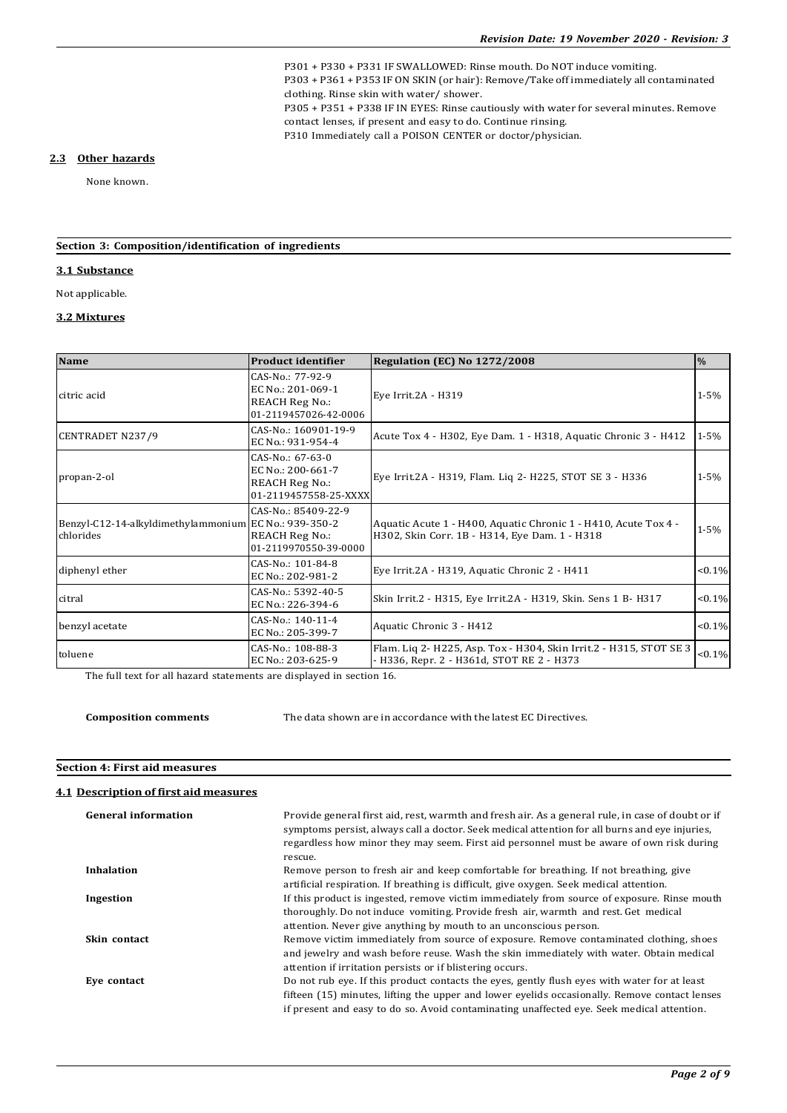P301 + P330 + P331 IF SWALLOWED: Rinse mouth. Do NOT induce vomiting. P303 + P361 + P353 IF ON SKIN (or hair): Remove/Take off immediately all contaminated clothing. Rinse skin with water/ shower. P305 + P351 + P338 IF IN EYES: Rinse cautiously with water for several minutes. Remove contact lenses, if present and easy to do. Continue rinsing. P310 Immediately call a POISON CENTER or doctor/physician.

#### **2.3 Other hazards**

None known.

## **Section 3: Composition/identification of ingredients**

### **3.1 Substance**

Not applicable.

## **3.2 Mixtures**

| <b>Name</b>                                                        | <b>Product identifier</b>                                                               | Regulation (EC) No 1272/2008                                                                                     | $\frac{0}{0}$ |
|--------------------------------------------------------------------|-----------------------------------------------------------------------------------------|------------------------------------------------------------------------------------------------------------------|---------------|
| citric acid                                                        | CAS-No.: 77-92-9<br>EC No.: 201-069-1<br><b>REACH Reg No.:</b><br>01-2119457026-42-0006 | Eye Irrit.2A - H319                                                                                              | $1 - 5%$      |
| <b>CENTRADET N237/9</b>                                            | CAS-No.: 160901-19-9<br>EC No.: 931-954-4                                               | Acute Tox 4 - H302, Eye Dam. 1 - H318, Aquatic Chronic 3 - H412                                                  | $1 - 5\%$     |
| propan-2-ol                                                        | CAS-No.: 67-63-0<br>EC No.: 200-661-7<br><b>REACH Reg No.:</b><br>01-2119457558-25-XXXX | Eye Irrit.2A - H319, Flam. Liq 2- H225, STOT SE 3 - H336                                                         | $1 - 5%$      |
| Benzyl-C12-14-alkyldimethylammonium EC No.: 939-350-2<br>chlorides | CAS-No.: 85409-22-9<br><b>REACH Reg No.:</b><br>01-2119970550-39-0000                   | Aquatic Acute 1 - H400, Aquatic Chronic 1 - H410, Acute Tox 4 -<br>H302, Skin Corr. 1B - H314, Eye Dam. 1 - H318 | $1 - 5%$      |
| diphenyl ether                                                     | $CAS-No$ : 101-84-8<br>EC No.: 202-981-2                                                | Eye Irrit.2A - H319, Aquatic Chronic 2 - H411                                                                    | $< 0.1\%$     |
| citral                                                             | CAS-No.: 5392-40-5<br>EC No.: 226-394-6                                                 | Skin Irrit.2 - H315, Eye Irrit.2A - H319, Skin. Sens 1 B- H317                                                   | $< 0.1\%$     |
| benzyl acetate                                                     | $CAS-No$ : 140-11-4<br>EC No.: 205-399-7                                                | Aquatic Chronic 3 - H412                                                                                         | $< 0.1\%$     |
| toluene                                                            | CAS-No.: 108-88-3<br>EC No.: 203-625-9                                                  | Flam. Liq 2- H225, Asp. Tox - H304, Skin Irrit.2 - H315, STOT SE 3<br>- H336, Repr. 2 - H361d, STOT RE 2 - H373  | $< 0.1\%$     |

The full text for all hazard statements are displayed in section 16.

**Composition comments** The data shown are in accordance with the latest EC Directives.

## **Section 4: First aid measures**

## **4.1 Description of first aid measures**

| <b>General information</b> | Provide general first aid, rest, warmth and fresh air. As a general rule, in case of doubt or if<br>symptoms persist, always call a doctor. Seek medical attention for all burns and eye injuries,<br>regardless how minor they may seem. First aid personnel must be aware of own risk during<br>rescue. |
|----------------------------|-----------------------------------------------------------------------------------------------------------------------------------------------------------------------------------------------------------------------------------------------------------------------------------------------------------|
| <b>Inhalation</b>          | Remove person to fresh air and keep comfortable for breathing. If not breathing, give<br>artificial respiration. If breathing is difficult, give oxygen. Seek medical attention.                                                                                                                          |
| Ingestion                  | If this product is ingested, remove victim immediately from source of exposure. Rinse mouth<br>thoroughly. Do not induce vomiting. Provide fresh air, warmth and rest. Get medical<br>attention. Never give anything by mouth to an unconscious person.                                                   |
| Skin contact               | Remove victim immediately from source of exposure. Remove contaminated clothing, shoes<br>and jewelry and wash before reuse. Wash the skin immediately with water. Obtain medical<br>attention if irritation persists or if blistering occurs.                                                            |
| Eve contact                | Do not rub eye. If this product contacts the eyes, gently flush eyes with water for at least<br>fifteen (15) minutes, lifting the upper and lower evelids occasionally. Remove contact lenses<br>if present and easy to do so. Avoid contaminating unaffected eye. Seek medical attention.                |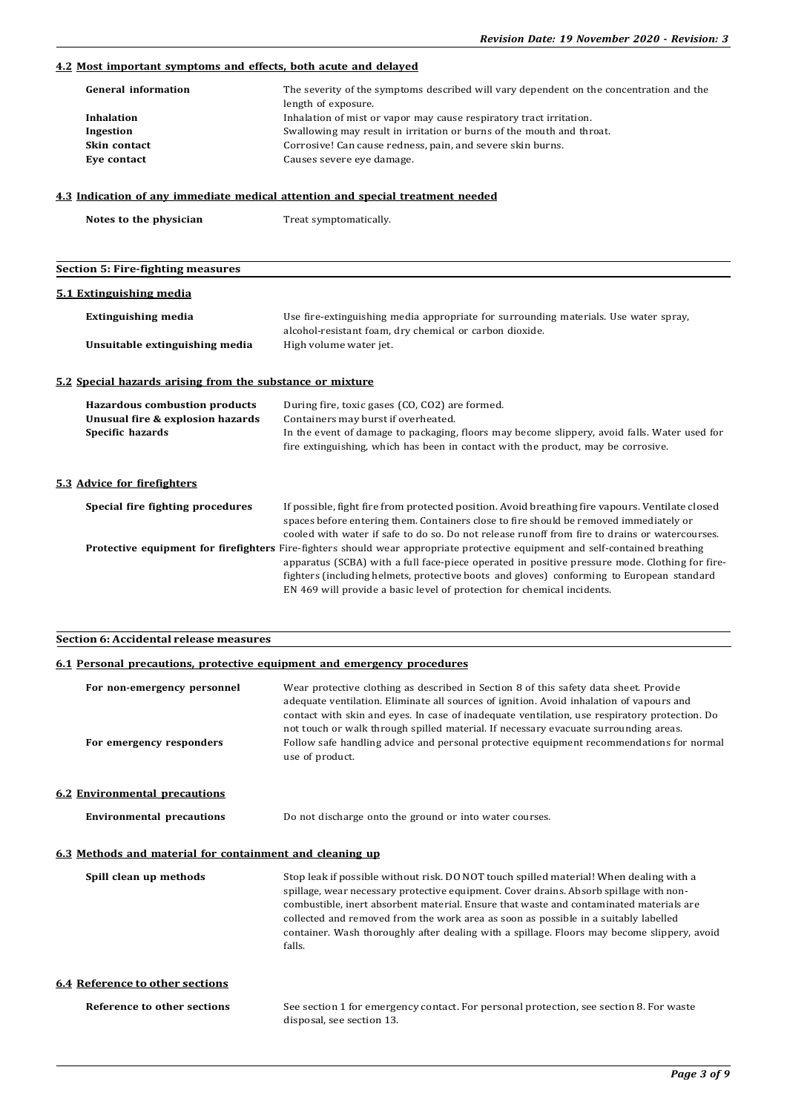## **4.2 Most important symptoms and effects, both acute and delayed**

| <b>General information</b> | The severity of the symptoms described will vary dependent on the concentration and the<br>length of exposure. |
|----------------------------|----------------------------------------------------------------------------------------------------------------|
| Inhalation                 | Inhalation of mist or vapor may cause respiratory tract irritation.                                            |
| Ingestion                  | Swallowing may result in irritation or burns of the mouth and throat.                                          |
| Skin contact               | Corrosive! Can cause redness, pain, and severe skin burns.                                                     |
| Eve contact                | Causes severe eye damage.                                                                                      |

## **4.3 Indication of any immediate medical attention and special treatment needed**

**Notes to the physician** Treat symptomatically.

# **Section 5: Fire-fighting measures**

#### **5.1 Extinguishing media**

| Extinguishing media            | Use fire-extinguishing media appropriate for surrounding materials. Use water spray,<br>alcohol-resistant foam, dry chemical or carbon dioxide. |
|--------------------------------|-------------------------------------------------------------------------------------------------------------------------------------------------|
| Unsuitable extinguishing media | High volume water jet.                                                                                                                          |

## **5.2 Special hazards arising from the substance or mixture**

| <b>Hazardous combustion products</b><br>Unusual fire & explosion hazards<br>Specific hazards | During fire, toxic gases (CO, CO2) are formed.<br>Containers may burst if overheated.<br>In the event of damage to packaging, floors may become slippery, avoid falls. Water used for<br>fire extinguishing, which has been in contact with the product, may be corrosive.                                                                                                                                     |
|----------------------------------------------------------------------------------------------|----------------------------------------------------------------------------------------------------------------------------------------------------------------------------------------------------------------------------------------------------------------------------------------------------------------------------------------------------------------------------------------------------------------|
| 5.3 Advice for firefighters                                                                  |                                                                                                                                                                                                                                                                                                                                                                                                                |
| Special fire fighting procedures                                                             | If possible, fight fire from protected position. Avoid breathing fire vapours. Ventilate closed<br>spaces before entering them. Containers close to fire should be removed immediately or<br>cooled with water if safe to do so. Do not release runoff from fire to drains or watercourses.                                                                                                                    |
|                                                                                              | <b>Protective equipment for firefighters</b> Fire-fighters should wear appropriate protective equipment and self-contained breathing<br>apparatus (SCBA) with a full face-piece operated in positive pressure mode. Clothing for fire-<br>fighters (including helmets, protective boots and gloves) conforming to European standard<br>EN 469 will provide a basic level of protection for chemical incidents. |

## **Section 6: Accidental release measures**

## **6.1 Personal precautions, protective equipment and emergency procedures**

| For non-emergency personnel<br>For emergency responders  | Wear protective clothing as described in Section 8 of this safety data sheet. Provide<br>adequate ventilation. Eliminate all sources of ignition. Avoid inhalation of vapours and<br>contact with skin and eyes. In case of inadequate ventilation, use respiratory protection. Do<br>not touch or walk through spilled material. If necessary evacuate surrounding areas.<br>Follow safe handling advice and personal protective equipment recommendations for normal      |
|----------------------------------------------------------|-----------------------------------------------------------------------------------------------------------------------------------------------------------------------------------------------------------------------------------------------------------------------------------------------------------------------------------------------------------------------------------------------------------------------------------------------------------------------------|
|                                                          | use of product.                                                                                                                                                                                                                                                                                                                                                                                                                                                             |
| <b>6.2 Environmental precautions</b>                     |                                                                                                                                                                                                                                                                                                                                                                                                                                                                             |
| <b>Environmental precautions</b>                         | Do not discharge onto the ground or into water courses.                                                                                                                                                                                                                                                                                                                                                                                                                     |
| 6.3 Methods and material for containment and cleaning up |                                                                                                                                                                                                                                                                                                                                                                                                                                                                             |
| Spill clean up methods                                   | Stop leak if possible without risk. DO NOT touch spilled material! When dealing with a<br>spillage, wear necessary protective equipment. Cover drains. Absorb spillage with non-<br>combustible, inert absorbent material. Ensure that waste and contaminated materials are<br>collected and removed from the work area as soon as possible in a suitably labelled<br>container. Wash thoroughly after dealing with a spillage. Floors may become slippery, avoid<br>falls. |
| <b>6.4 Reference to other sections</b>                   |                                                                                                                                                                                                                                                                                                                                                                                                                                                                             |
| Reference to other sections                              | See section 1 for emergency contact. For personal protection, see section 8. For waste                                                                                                                                                                                                                                                                                                                                                                                      |

disposal, see section 13.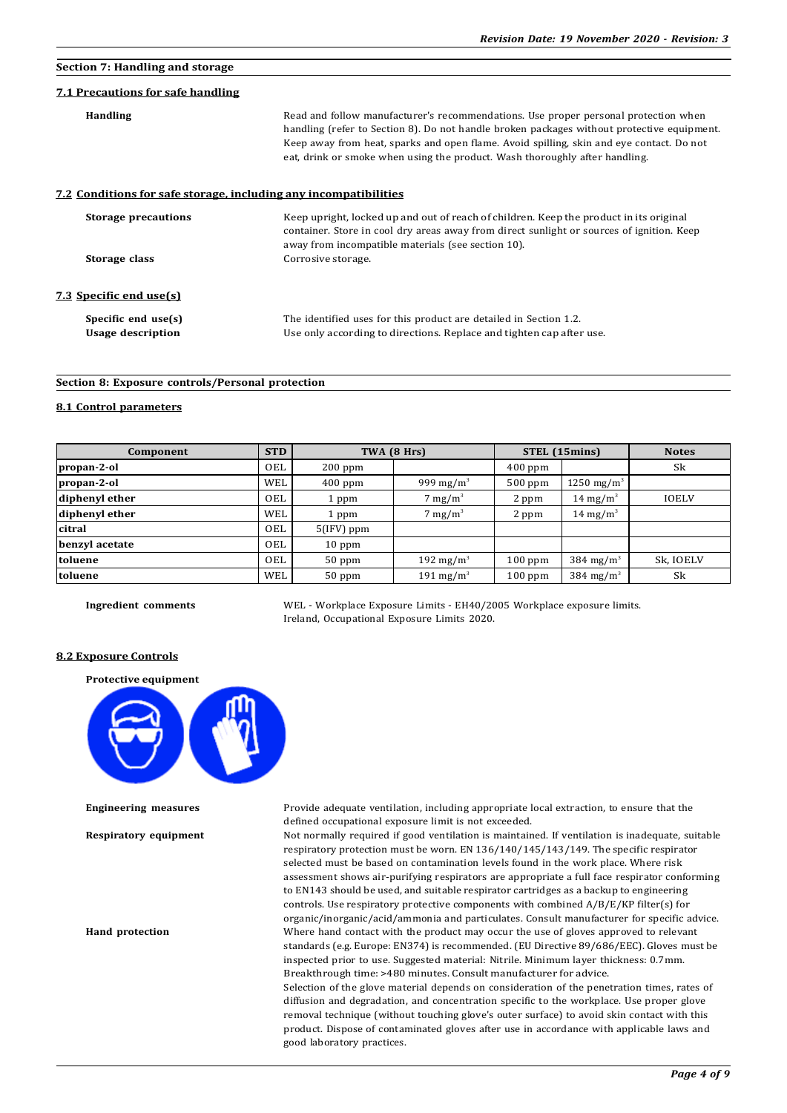## **Section 7: Handling and storage**

### **7.1 Precautions for safe handling**

| <b>Handling</b>                                                  | Read and follow manufacturer's recommendations. Use proper personal protection when<br>handling (refer to Section 8). Do not handle broken packages without protective equipment.<br>Keep away from heat, sparks and open flame. Avoid spilling, skin and eye contact. Do not<br>eat, drink or smoke when using the product. Wash thoroughly after handling. |
|------------------------------------------------------------------|--------------------------------------------------------------------------------------------------------------------------------------------------------------------------------------------------------------------------------------------------------------------------------------------------------------------------------------------------------------|
| 7.2 Conditions for safe storage, including any incompatibilities |                                                                                                                                                                                                                                                                                                                                                              |
| <b>Storage precautions</b>                                       | Keep upright, locked up and out of reach of children. Keep the product in its original<br>container. Store in cool dry areas away from direct sunlight or sources of ignition. Keep<br>away from incompatible materials (see section 10).                                                                                                                    |
| Storage class                                                    | Corrosive storage.                                                                                                                                                                                                                                                                                                                                           |
| <u>7.3 Specific end use(s)</u>                                   |                                                                                                                                                                                                                                                                                                                                                              |
| Specific end use(s)                                              | The identified uses for this product are detailed in Section 1.2.                                                                                                                                                                                                                                                                                            |
| <b>Usage description</b>                                         | Use only according to directions. Replace and tighten cap after use.                                                                                                                                                                                                                                                                                         |

## **Section 8: Exposure controls/Personal protection**

#### **8.1 Control parameters**

| Component      | <b>STD</b> |              | TWA (8 Hrs)           |           | STEL (15mins)          | <b>Notes</b> |
|----------------|------------|--------------|-----------------------|-----------|------------------------|--------------|
| propan-2-ol    | OEL        | $200$ ppm    |                       | $400$ ppm |                        | Sk           |
| propan-2-ol    | WEL        | $400$ ppm    | 999 mg/m <sup>3</sup> | $500$ ppm | 1250 mg/m <sup>3</sup> |              |
| diphenyl ether | OEL        | 1 ppm        | $7 \text{ mg/m}^3$    | 2 ppm     | 14 mg/m <sup>3</sup>   | <b>IOELV</b> |
| diphenyl ether | WEL        | 1 ppm        | $7 \text{ mg/m}^3$    | 2 ppm     | 14 mg/m <sup>3</sup>   |              |
| citral         | OEL        | $5(IFV)$ ppm |                       |           |                        |              |
| benzyl acetate | <b>OEL</b> | $10$ ppm     |                       |           |                        |              |
| toluene        | <b>OEL</b> | $50$ ppm     | 192 mg/m <sup>3</sup> | $100$ ppm | 384 mg/m <sup>3</sup>  | Sk, IOELV    |
| toluene        | WEL        | $50$ ppm     | 191 mg/m <sup>3</sup> | $100$ ppm | 384 mg/m <sup>3</sup>  | Sk           |

good laboratory practices.

**Ingredient comments** WEL - Workplace Exposure Limits - EH40/2005 Workplace exposure limits. Ireland, Occupational Exposure Limits 2020.

## **8.2 Exposure Controls**

**Protective equipment**



**Engineering measures** Provide adequate ventilation, including appropriate local extraction, to ensure that the defined occupational exposure limit is not exceeded.

**Respiratory equipment** Not normally required if good ventilation is maintained. If ventilation is inadequate, suitable respiratory protection must be worn. EN 136/140/145/143/149. The specific respirator selected must be based on contamination levels found in the work place. Where risk assessment shows air-purifying respirators are appropriate a full face respirator conforming to EN143 should be used, and suitable respirator cartridges as a backup to engineering controls. Use respiratory protective components with combined A/B/E/KP filter(s) for organic/inorganic/acid/ammonia and particulates. Consult manufacturer for specific advice. **Hand protection** Where hand contact with the product may occur the use of gloves approved to relevant standards (e.g. Europe: EN374) is recommended. (EU Directive 89/686/EEC). Gloves must be inspected prior to use. Suggested material: Nitrile. Minimum layer thickness: 0.7mm. Breakthrough time: >480 minutes. Consult manufacturer for advice. Selection of the glove material depends on consideration of the penetration times, rates of diffusion and degradation, and concentration specific to the workplace. Use proper glove removal technique (without touching glove's outer surface) to avoid skin contact with this product. Dispose of contaminated gloves after use in accordance with applicable laws and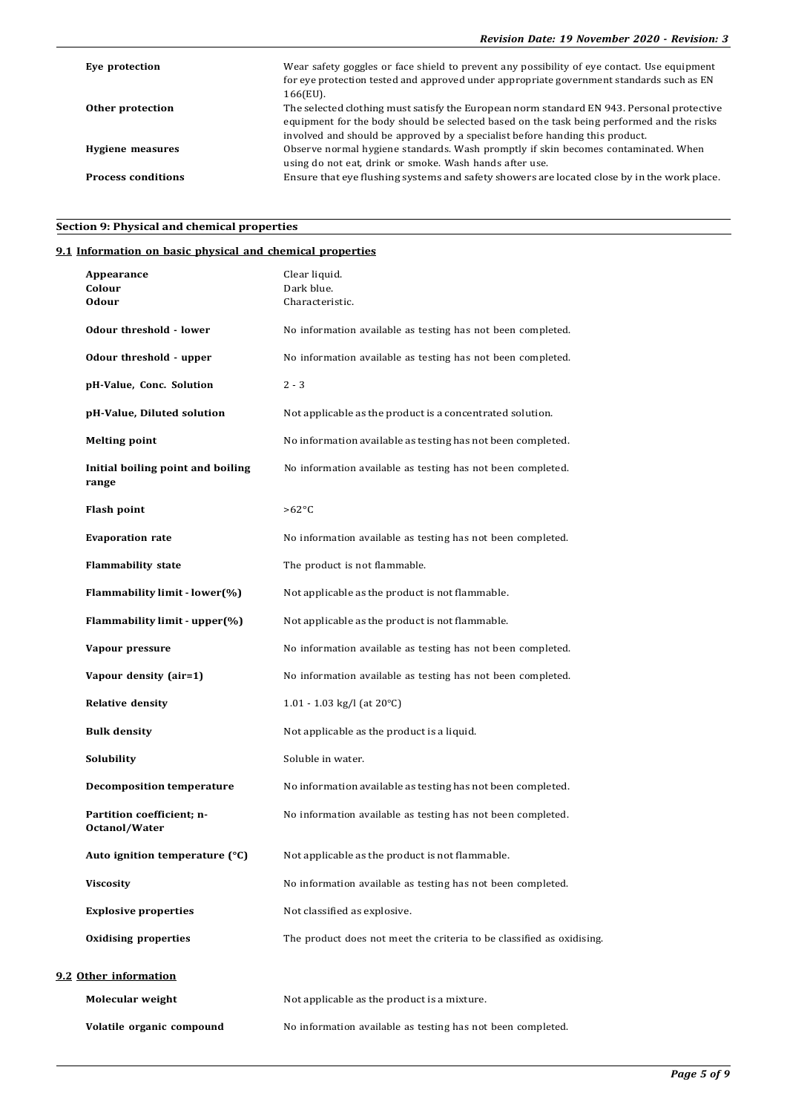| Eve protection            | Wear safety goggles or face shield to prevent any possibility of eye contact. Use equipment<br>for eye protection tested and approved under appropriate government standards such as EN<br>166(EU).                                                                    |
|---------------------------|------------------------------------------------------------------------------------------------------------------------------------------------------------------------------------------------------------------------------------------------------------------------|
| Other protection          | The selected clothing must satisfy the European norm standard EN 943. Personal protective<br>equipment for the body should be selected based on the task being performed and the risks<br>involved and should be approved by a specialist before handing this product. |
| Hygiene measures          | Observe normal hygiene standards. Wash promptly if skin becomes contaminated. When<br>using do not eat, drink or smoke. Wash hands after use.                                                                                                                          |
| <b>Process conditions</b> | Ensure that eye flushing systems and safety showers are located close by in the work place.                                                                                                                                                                            |

# **Section 9: Physical and chemical properties**

# **9.1 Information on basic physical and chemical properties**

| Appearance<br>Colour<br>Odour              | Clear liquid.<br>Dark blue.<br>Characteristic.                        |
|--------------------------------------------|-----------------------------------------------------------------------|
| Odour threshold - lower                    | No information available as testing has not been completed.           |
| Odour threshold - upper                    | No information available as testing has not been completed.           |
| pH-Value, Conc. Solution                   | $2 - 3$                                                               |
| pH-Value, Diluted solution                 | Not applicable as the product is a concentrated solution.             |
| <b>Melting point</b>                       | No information available as testing has not been completed.           |
| Initial boiling point and boiling<br>range | No information available as testing has not been completed.           |
| <b>Flash point</b>                         | $>62^{\circ}C$                                                        |
| <b>Evaporation rate</b>                    | No information available as testing has not been completed.           |
| <b>Flammability state</b>                  | The product is not flammable.                                         |
| Flammability limit - lower(%)              | Not applicable as the product is not flammable.                       |
| Flammability limit - upper(%)              | Not applicable as the product is not flammable.                       |
| Vapour pressure                            | No information available as testing has not been completed.           |
| Vapour density (air=1)                     | No information available as testing has not been completed.           |
| <b>Relative density</b>                    | 1.01 - 1.03 kg/l (at 20°C)                                            |
| <b>Bulk density</b>                        | Not applicable as the product is a liquid.                            |
| Solubility                                 | Soluble in water.                                                     |
| <b>Decomposition temperature</b>           | No information available as testing has not been completed.           |
| Partition coefficient; n-<br>Octanol/Water | No information available as testing has not been completed.           |
| Auto ignition temperature (°C)             | Not applicable as the product is not flammable.                       |
| <b>Viscosity</b>                           | No information available as testing has not been completed.           |
| <b>Explosive properties</b>                | Not classified as explosive.                                          |
| <b>Oxidising properties</b>                | The product does not meet the criteria to be classified as oxidising. |
| 9.2 Other information                      |                                                                       |
| Molecular weight                           | Not applicable as the product is a mixture.                           |
| Volatile organic compound                  | No information available as testing has not been completed.           |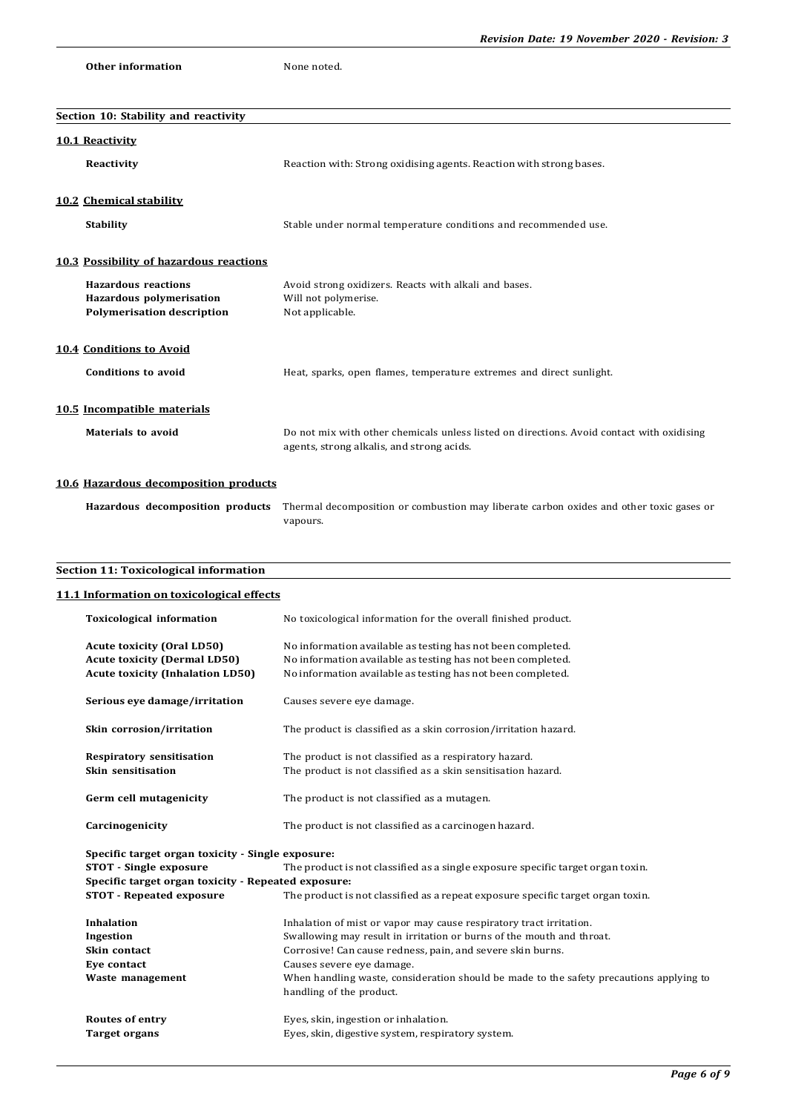```
Other information None noted.
```

| Section 10: Stability and reactivity                                                        |                                                                                                                                        |  |  |  |
|---------------------------------------------------------------------------------------------|----------------------------------------------------------------------------------------------------------------------------------------|--|--|--|
| 10.1 Reactivity                                                                             |                                                                                                                                        |  |  |  |
| Reactivity                                                                                  | Reaction with: Strong oxidising agents. Reaction with strong bases.                                                                    |  |  |  |
| 10.2 Chemical stability                                                                     |                                                                                                                                        |  |  |  |
| <b>Stability</b>                                                                            | Stable under normal temperature conditions and recommended use.                                                                        |  |  |  |
| 10.3 Possibility of hazardous reactions                                                     |                                                                                                                                        |  |  |  |
| <b>Hazardous reactions</b><br>Hazardous polymerisation<br><b>Polymerisation description</b> | Avoid strong oxidizers. Reacts with alkali and bases.<br>Will not polymerise.<br>Not applicable.                                       |  |  |  |
| 10.4 Conditions to Avoid                                                                    |                                                                                                                                        |  |  |  |
| <b>Conditions to avoid</b>                                                                  | Heat, sparks, open flames, temperature extremes and direct sunlight.                                                                   |  |  |  |
| 10.5 Incompatible materials                                                                 |                                                                                                                                        |  |  |  |
| <b>Materials to avoid</b>                                                                   | Do not mix with other chemicals unless listed on directions. Avoid contact with oxidising<br>agents, strong alkalis, and strong acids. |  |  |  |
| 10.6 Hazardous decomposition products                                                       |                                                                                                                                        |  |  |  |
| Hazardous decomposition products                                                            | Thermal decomposition or combustion may liberate carbon oxides and other toxic gases or<br>vapours.                                    |  |  |  |
| <b>Section 11: Toxicological information</b>                                                |                                                                                                                                        |  |  |  |
| 11.1 Information on toxicological effects                                                   |                                                                                                                                        |  |  |  |
| <b>Toxicological information</b>                                                            | No toxicological information for the overall finished product.                                                                         |  |  |  |
| <b>Acute toxicity (Oral LD50)</b><br><b>Acute toxicity (Dermal LD50)</b>                    | No information available as testing has not been completed.<br>No information available as testing has not been completed.             |  |  |  |

| Acute toxicity (Definal LD50)           | No information available as testing has not been completed. |
|-----------------------------------------|-------------------------------------------------------------|
| <b>Acute toxicity (Inhalation LD50)</b> | No information available as testing has not been completed. |

| Serious eye damage/irritation                          | Causes severe eye damage.                                                                                               |
|--------------------------------------------------------|-------------------------------------------------------------------------------------------------------------------------|
| Skin corrosion/irritation                              | The product is classified as a skin corrosion/irritation hazard.                                                        |
| <b>Respiratory sensitisation</b><br>Skin sensitisation | The product is not classified as a respiratory hazard.<br>The product is not classified as a skin sensitisation hazard. |
|                                                        |                                                                                                                         |
| Germ cell mutagenicity                                 | The product is not classified as a mutagen.                                                                             |
| Carcinogenicity                                        | The product is not classified as a carcinogen hazard.                                                                   |
| Specific target organ toxicity - Single exposure:      |                                                                                                                         |
| <b>STOT</b> - Single exposure                          | The product is not classified as a single exposure specific target organ toxin.                                         |
| Specific target organ toxicity - Repeated exposure:    |                                                                                                                         |
| <b>STOT - Repeated exposure</b>                        | The product is not classified as a repeat exposure specific target organ toxin.                                         |
| <b>Inhalation</b>                                      | Inhalation of mist or vapor may cause respiratory tract irritation.                                                     |
| Ingestion                                              | Swallowing may result in irritation or burns of the mouth and throat.                                                   |
| Skin contact                                           | Corrosive! Can cause redness, pain, and severe skin burns.                                                              |
| Eve contact                                            | Causes severe eye damage.                                                                                               |
| Waste management                                       | When handling waste, consideration should be made to the safety precautions applying to                                 |
|                                                        | handling of the product.                                                                                                |
| <b>Routes of entry</b>                                 | Eyes, skin, ingestion or inhalation.                                                                                    |
| Target organs                                          | Eyes, skin, digestive system, respiratory system.                                                                       |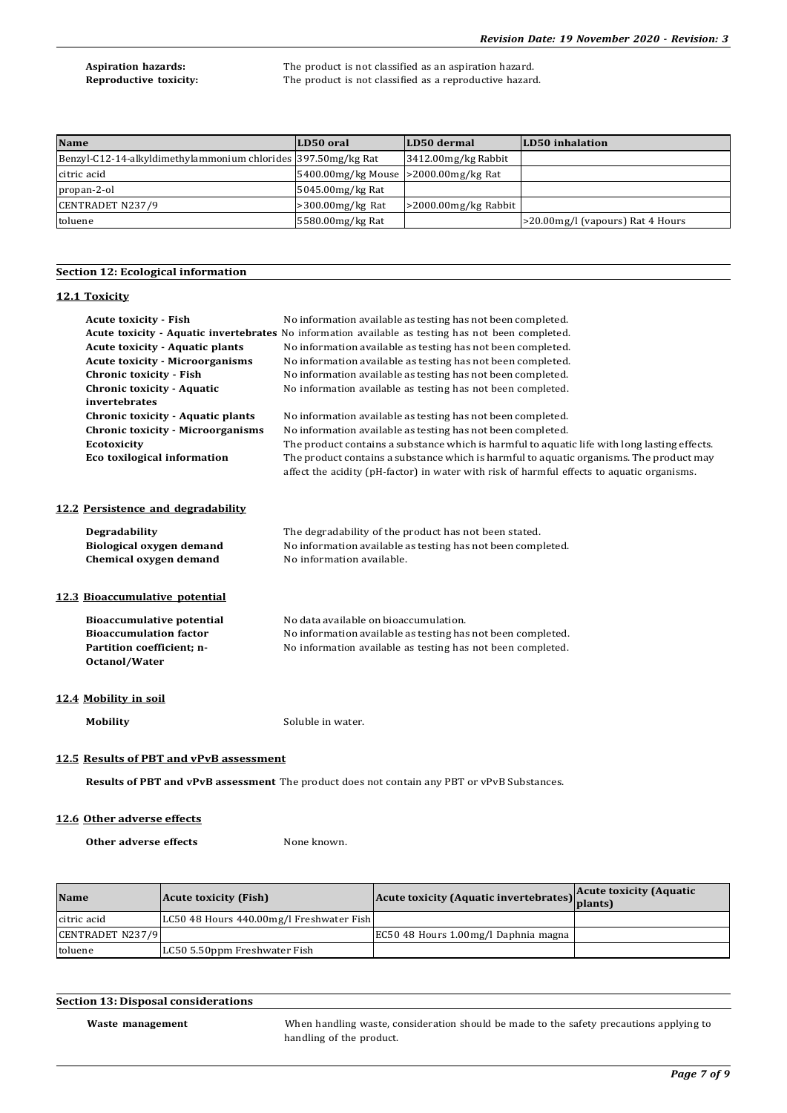**Aspiration hazards:** The product is not classified as an aspiration hazard. **Reproductive toxicity:** The product is not classified as a reproductive hazard.

| <b>Name</b>                                                   | LD50 oral                               | LD50 dermal              | LD50 inhalation                  |
|---------------------------------------------------------------|-----------------------------------------|--------------------------|----------------------------------|
| Benzyl-C12-14-alkyldimethylammonium chlorides 397.50mg/kg Rat |                                         | 3412.00mg/kg Rabbit      |                                  |
| citric acid                                                   | 5400.00 mg/kg Mouse  >2000.00 mg/kg Rat |                          |                                  |
| propan-2-ol                                                   | 5045.00mg/kg Rat                        |                          |                                  |
| CENTRADET N237/9                                              | $>$ 300.00mg/kg Rat                     | $>$ 2000.00 mg/kg Rabbit |                                  |
| toluene                                                       | 5580.00mg/kg Rat                        |                          | >20.00mg/l (vapours) Rat 4 Hours |

## **Section 12: Ecological information**

## **12.1 Toxicity**

| <b>Acute toxicity - Fish</b><br><b>Acute toxicity - Aquatic plants</b><br><b>Acute toxicity - Microorganisms</b><br><b>Chronic toxicity - Fish</b><br><b>Chronic toxicity - Aquatic</b><br>invertebrates<br><b>Chronic toxicity - Aquatic plants</b> | No information available as testing has not been completed.<br>Acute toxicity - Aquatic invertebrates No information available as testing has not been completed.<br>No information available as testing has not been completed.<br>No information available as testing has not been completed.<br>No information available as testing has not been completed.<br>No information available as testing has not been completed.<br>No information available as testing has not been completed. |  |
|------------------------------------------------------------------------------------------------------------------------------------------------------------------------------------------------------------------------------------------------------|----------------------------------------------------------------------------------------------------------------------------------------------------------------------------------------------------------------------------------------------------------------------------------------------------------------------------------------------------------------------------------------------------------------------------------------------------------------------------------------------|--|
| <b>Chronic toxicity - Microorganisms</b><br>Ecotoxicity<br>Eco toxilogical information                                                                                                                                                               | No information available as testing has not been completed.<br>The product contains a substance which is harmful to aquatic life with long lasting effects.<br>The product contains a substance which is harmful to aquatic organisms. The product may<br>affect the acidity (pH-factor) in water with risk of harmful effects to aquatic organisms.                                                                                                                                         |  |
| 12.2 Persistence and degradability                                                                                                                                                                                                                   |                                                                                                                                                                                                                                                                                                                                                                                                                                                                                              |  |
| <b>Degradability</b><br><b>Biological oxygen demand</b><br>Chemical oxygen demand                                                                                                                                                                    | The degradability of the product has not been stated.<br>No information available as testing has not been completed.<br>No information available.                                                                                                                                                                                                                                                                                                                                            |  |
| 12.3 Bioaccumulative potential                                                                                                                                                                                                                       |                                                                                                                                                                                                                                                                                                                                                                                                                                                                                              |  |
| <b>Bioaccumulative potential</b><br><b>Bioaccumulation factor</b><br>Partition coefficient; n-<br>Octanol/Water                                                                                                                                      | No data available on bioaccumulation.<br>No information available as testing has not been completed.<br>No information available as testing has not been completed.                                                                                                                                                                                                                                                                                                                          |  |
| 12.4 Mobility in soil                                                                                                                                                                                                                                |                                                                                                                                                                                                                                                                                                                                                                                                                                                                                              |  |
| <b>Mobility</b>                                                                                                                                                                                                                                      | Soluble in water.                                                                                                                                                                                                                                                                                                                                                                                                                                                                            |  |
| 12.5 Results of PBT and vPvB assessment                                                                                                                                                                                                              |                                                                                                                                                                                                                                                                                                                                                                                                                                                                                              |  |

**Results of PBT and vPvB assessment** The product does not contain any PBT or vPvB Substances.

## **12.6 Other adverse effects**

**Other adverse effects** None known.

| <b>Name</b>      | <b>Acute toxicity (Fish)</b>             | Acute toxicity (Aquatic invertebrates) plants) | <b>Acute toxicity (Aquatic</b> |
|------------------|------------------------------------------|------------------------------------------------|--------------------------------|
| citric acid      | LC50 48 Hours 440.00mg/l Freshwater Fish |                                                |                                |
| CENTRADET N237/9 |                                          | EC50 48 Hours 1.00mg/l Daphnia magna           |                                |
| toluene          | LC50 5.50ppm Freshwater Fish             |                                                |                                |

## **Section 13: Disposal considerations**

**Waste management** When handling waste, consideration should be made to the safety precautions applying to handling of the product.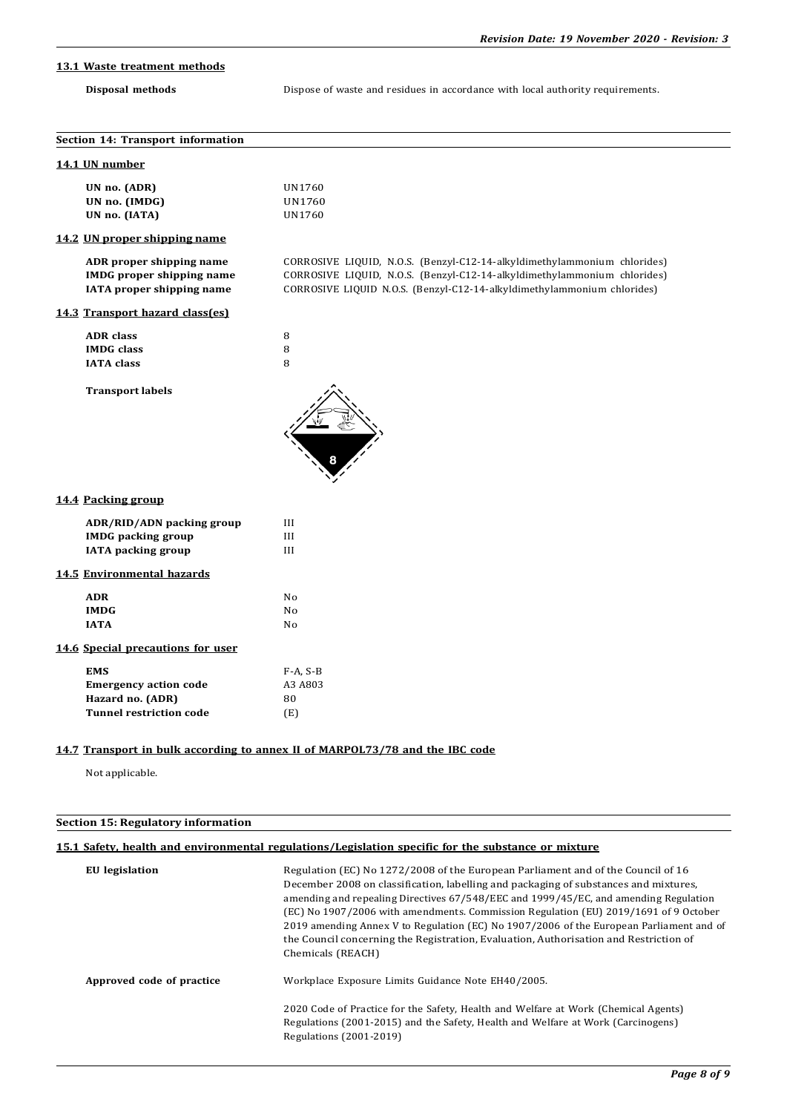# **13.1 Waste treatment methods**

**Disposal methods** Dispose of waste and residues in accordance with local authority requirements.

| Section 14: Transport information                                                                |                                                                                                                                                                                                                                 |
|--------------------------------------------------------------------------------------------------|---------------------------------------------------------------------------------------------------------------------------------------------------------------------------------------------------------------------------------|
| 14.1 UN number                                                                                   |                                                                                                                                                                                                                                 |
| UN no. (ADR)<br>UN no. (IMDG)<br>UN no. (IATA)                                                   | UN1760<br>UN1760<br>UN1760                                                                                                                                                                                                      |
| 14.2 UN proper shipping name                                                                     |                                                                                                                                                                                                                                 |
| ADR proper shipping name<br><b>IMDG</b> proper shipping name<br>IATA proper shipping name        | CORROSIVE LIQUID, N.O.S. (Benzyl-C12-14-alkyldimethylammonium chlorides)<br>CORROSIVE LIQUID, N.O.S. (Benzyl-C12-14-alkyldimethylammonium chlorides)<br>CORROSIVE LIQUID N.O.S. (Benzyl-C12-14-alkyldimethylammonium chlorides) |
| 14.3 Transport hazard class(es)                                                                  |                                                                                                                                                                                                                                 |
| <b>ADR</b> class<br><b>IMDG</b> class<br><b>IATA</b> class                                       | 8<br>8<br>8                                                                                                                                                                                                                     |
| <b>Transport labels</b>                                                                          |                                                                                                                                                                                                                                 |
| 14.4 Packing group                                                                               |                                                                                                                                                                                                                                 |
| ADR/RID/ADN packing group<br><b>IMDG</b> packing group<br><b>IATA</b> packing group              | III<br>III<br>III                                                                                                                                                                                                               |
| 14.5 Environmental hazards                                                                       |                                                                                                                                                                                                                                 |
| <b>ADR</b><br><b>IMDG</b><br><b>IATA</b>                                                         | No<br>No<br>No                                                                                                                                                                                                                  |
| 14.6 Special precautions for user                                                                |                                                                                                                                                                                                                                 |
| <b>EMS</b><br><b>Emergency action code</b><br>Hazard no. (ADR)<br><b>Tunnel restriction code</b> | $F-A, S-B$<br>A3 A803<br>80<br>(E)                                                                                                                                                                                              |

# **14.7 Transport in bulk according to annex II of MARPOL73/78 and the IBC code**

Not applicable.

## **Section 15: Regulatory information**

# **15.1 Safety, health and environmental regulations/Legislation specific for the substance or mixture**

| <b>EU</b> legislation     | Regulation (EC) No 1272/2008 of the European Parliament and of the Council of 16<br>December 2008 on classification, labelling and packaging of substances and mixtures,<br>amending and repealing Directives 67/548/EEC and 1999/45/EC, and amending Regulation<br>(EC) No 1907/2006 with amendments. Commission Regulation (EU) 2019/1691 of 9 October<br>2019 amending Annex V to Regulation (EC) No 1907/2006 of the European Parliament and of<br>the Council concerning the Registration, Evaluation, Authorisation and Restriction of<br>Chemicals (REACH) |
|---------------------------|-------------------------------------------------------------------------------------------------------------------------------------------------------------------------------------------------------------------------------------------------------------------------------------------------------------------------------------------------------------------------------------------------------------------------------------------------------------------------------------------------------------------------------------------------------------------|
| Approved code of practice | Workplace Exposure Limits Guidance Note EH40/2005.                                                                                                                                                                                                                                                                                                                                                                                                                                                                                                                |
|                           | 2020 Code of Practice for the Safety, Health and Welfare at Work (Chemical Agents)<br>Regulations (2001-2015) and the Safety, Health and Welfare at Work (Carcinogens)<br>Regulations (2001-2019)                                                                                                                                                                                                                                                                                                                                                                 |